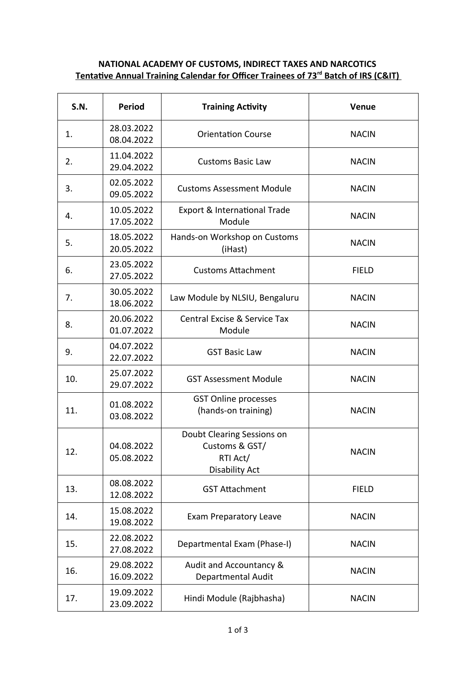## **NATIONAL ACADEMY OF CUSTOMS, INDIRECT TAXES AND NARCOTICS Tentative Annual Training Calendar for Officer Trainees of 73<sup>rd</sup> Batch of IRS (C&IT)**

| <b>S.N.</b> | <b>Period</b>            | <b>Training Activity</b>                                                          | <b>Venue</b> |
|-------------|--------------------------|-----------------------------------------------------------------------------------|--------------|
| 1.          | 28.03.2022<br>08.04.2022 | <b>Orientation Course</b>                                                         | <b>NACIN</b> |
| 2.          | 11.04.2022<br>29.04.2022 | <b>Customs Basic Law</b>                                                          | <b>NACIN</b> |
| 3.          | 02.05.2022<br>09.05.2022 | <b>Customs Assessment Module</b>                                                  | <b>NACIN</b> |
| 4.          | 10.05.2022<br>17.05.2022 | Export & International Trade<br>Module                                            | <b>NACIN</b> |
| 5.          | 18.05.2022<br>20.05.2022 | Hands-on Workshop on Customs<br>(iHast)                                           | <b>NACIN</b> |
| 6.          | 23.05.2022<br>27.05.2022 | <b>Customs Attachment</b>                                                         | <b>FIELD</b> |
| 7.          | 30.05.2022<br>18.06.2022 | Law Module by NLSIU, Bengaluru                                                    | <b>NACIN</b> |
| 8.          | 20.06.2022<br>01.07.2022 | Central Excise & Service Tax<br>Module                                            | <b>NACIN</b> |
| 9.          | 04.07.2022<br>22.07.2022 | <b>GST Basic Law</b>                                                              | <b>NACIN</b> |
| 10.         | 25.07.2022<br>29.07.2022 | <b>GST Assessment Module</b>                                                      | <b>NACIN</b> |
| 11.         | 01.08.2022<br>03.08.2022 | <b>GST Online processes</b><br>(hands-on training)                                | <b>NACIN</b> |
| 12.         | 04.08.2022<br>05.08.2022 | Doubt Clearing Sessions on<br>Customs & GST/<br>RTI Act/<br><b>Disability Act</b> | <b>NACIN</b> |
| 13.         | 08.08.2022<br>12.08.2022 | <b>GST Attachment</b>                                                             | <b>FIELD</b> |
| 14.         | 15.08.2022<br>19.08.2022 | <b>Exam Preparatory Leave</b>                                                     | <b>NACIN</b> |
| 15.         | 22.08.2022<br>27.08.2022 | Departmental Exam (Phase-I)                                                       | <b>NACIN</b> |
| 16.         | 29.08.2022<br>16.09.2022 | Audit and Accountancy &<br>Departmental Audit                                     | <b>NACIN</b> |
| 17.         | 19.09.2022<br>23.09.2022 | Hindi Module (Rajbhasha)                                                          | <b>NACIN</b> |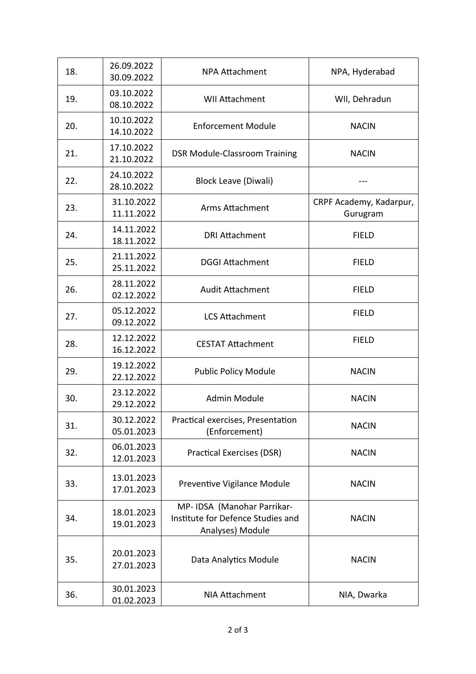| 18. | 26.09.2022<br>30.09.2022 | <b>NPA Attachment</b>                                                                | NPA, Hyderabad                      |
|-----|--------------------------|--------------------------------------------------------------------------------------|-------------------------------------|
| 19. | 03.10.2022<br>08.10.2022 | <b>WII Attachment</b>                                                                | WII, Dehradun                       |
| 20. | 10.10.2022<br>14.10.2022 | <b>Enforcement Module</b>                                                            | <b>NACIN</b>                        |
| 21. | 17.10.2022<br>21.10.2022 | <b>DSR Module-Classroom Training</b>                                                 | <b>NACIN</b>                        |
| 22. | 24.10.2022<br>28.10.2022 | <b>Block Leave (Diwali)</b>                                                          |                                     |
| 23. | 31.10.2022<br>11.11.2022 | Arms Attachment                                                                      | CRPF Academy, Kadarpur,<br>Gurugram |
| 24. | 14.11.2022<br>18.11.2022 | <b>DRI Attachment</b>                                                                | <b>FIELD</b>                        |
| 25. | 21.11.2022<br>25.11.2022 | <b>DGGI Attachment</b>                                                               | <b>FIELD</b>                        |
| 26. | 28.11.2022<br>02.12.2022 | <b>Audit Attachment</b>                                                              | <b>FIELD</b>                        |
| 27. | 05.12.2022<br>09.12.2022 | <b>LCS Attachment</b>                                                                | <b>FIELD</b>                        |
| 28. | 12.12.2022<br>16.12.2022 | <b>CESTAT Attachment</b>                                                             | <b>FIELD</b>                        |
| 29. | 19.12.2022<br>22.12.2022 | <b>Public Policy Module</b>                                                          | <b>NACIN</b>                        |
| 30. | 23.12.2022<br>29.12.2022 | Admin Module                                                                         | <b>NACIN</b>                        |
| 31. | 30.12.2022<br>05.01.2023 | Practical exercises, Presentation<br>(Enforcement)                                   | <b>NACIN</b>                        |
| 32. | 06.01.2023<br>12.01.2023 | <b>Practical Exercises (DSR)</b>                                                     | <b>NACIN</b>                        |
| 33. | 13.01.2023<br>17.01.2023 | Preventive Vigilance Module                                                          | <b>NACIN</b>                        |
| 34. | 18.01.2023<br>19.01.2023 | MP- IDSA (Manohar Parrikar-<br>Institute for Defence Studies and<br>Analyses) Module | <b>NACIN</b>                        |
| 35. | 20.01.2023<br>27.01.2023 | Data Analytics Module                                                                | <b>NACIN</b>                        |
| 36. | 30.01.2023<br>01.02.2023 | NIA Attachment                                                                       | NIA, Dwarka                         |